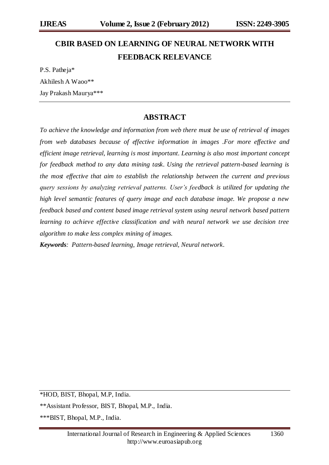# **CBIR BASED ON LEARNING OF NEURAL NETWORK WITH FEEDBACK RELEVANCE**

P.S. Patheja\* Akhilesh A Waoo\*\* Jay Prakash Maurya\*\*\*

# **ABSTRACT**

*To achieve the knowledge and information from web there must be use of retrieval of images from web databases because of effective information in images .For more effective and efficient image retrieval, learning is most important. Learning is also most important concept for feedback method to any data mining task. Using the retrieval pattern-based learning is the most effective that aim to establish the relationship between the current and previous query sessions by analyzing retrieval patterns. User's feedback is utilized for updating the high level semantic features of query image and each database image. We propose a new feedback based and content based image retrieval system using neural network based pattern learning to achieve effective classification and with neural network we use decision tree algorithm to make less complex mining of images.* 

*Keywords: Pattern-based learning, Image retrieval, Neural network.*

\*HOD, BIST, Bhopal, M.P, India.

\*\*Assistant Professor, BIST, Bhopal, M.P., India.

\*\*\*BIST, Bhopal, M.P., India.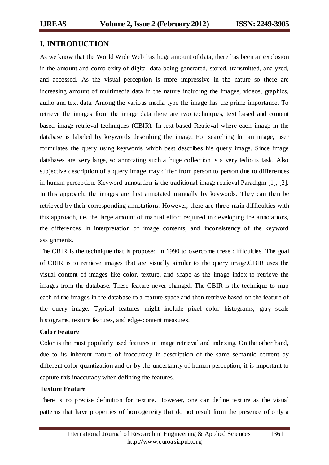### **I. INTRODUCTION**

As we know that the World Wide Web has huge amount of data, there has been an explosion in the amount and complexity of digital data being generated, stored, transmitted, analyzed, and accessed. As the visual perception is more impressive in the nature so there are increasing amount of multimedia data in the nature including the images, videos, graphics, audio and text data. Among the various media type the image has the prime importance. To retrieve the images from the image data there are two techniques, text based and content based image retrieval techniques (CBIR). In text based Retrieval where each image in the database is labeled by keywords describing the image. For searching for an image, user formulates the query using keywords which best describes his query image. Since image databases are very large, so annotating such a huge collection is a very tedious task. Also subjective description of a query image may differ from person to person due to differe nces in human perception. Keyword annotation is the traditional image retrieval Paradigm [1], [2]. In this approach, the images are first annotated manually by keywords. They can then be retrieved by their corresponding annotations. However, there are thre e main difficulties with this approach, i.e. the large amount of manual effort required in developing the annotations, the differences in interpretation of image contents, and inconsistency of the keyword assignments.

The CBIR is the technique that is proposed in 1990 to overcome these difficulties. The goal of CBIR is to retrieve images that are visually similar to the query image.CBIR uses the visual content of images like color, texture, and shape as the image index to retrieve the images from the database. These feature never changed. The CBIR is the technique to map each of the images in the database to a feature space and then retrieve based on the feature of the query image. Typical features might include pixel color histograms, gray scale histograms, texture features, and edge-content measures.

#### **Color Feature**

Color is the most popularly used features in image retrieval and indexing. On the other hand, due to its inherent nature of inaccuracy in description of the same semantic content by different color quantization and or by the uncertainty of human perception, it is important to capture this inaccuracy when defining the features.

#### **Texture Feature**

There is no precise definition for texture. However, one can define texture as the visual patterns that have properties of homogeneity that do not result from the presence of only a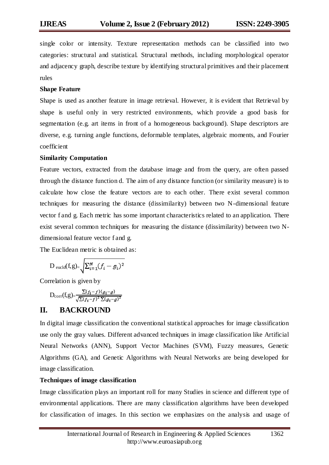single color or intensity. Texture representation methods can be classified into two categories: structural and statistical. Structural methods, including morphological operator and adjacency graph, describe texture by identifying structural primitives and their placement rules

#### **Shape Feature**

Shape is used as another feature in image retrieval. However, it is evident that Retrieval by shape is useful only in very restricted environments, which provide a good basis for segmentation (e.g. art items in front of a homogeneous background). Shape descriptors are diverse, e.g. turning angle functions, deformable templates, algebraic moments, and Fourier coefficient

#### **Similarity Computation**

Feature vectors, extracted from the database image and from the query, are often passed through the distance function d*.* The aim of any distance function (or similarity measure) is to calculate how close the feature vectors are to each other. There exist several common techniques for measuring the distance (dissimilarity) between two N-dimensional feature vector f and g. Each metric has some important characteristics related to an application. There exist several common techniques for measuring the distance (dissimilarity) between two Ndimensional feature vector f and g.

The Euclidean metric is obtained as:

$$
D_{\text{euclid}}(f,g) = \sqrt{\sum_{i=1}^{N} (f_i - g_i)^2}
$$

Correlation is given by

$$
\mathcal{D}_{\text{corr}}(f,g) = \frac{\sum (f_i - f)(g_i - g)}{\sqrt{\sum (f_i - f)^2} \sum (g_i - g)^2}
$$

# **II. BACKROUND**

In digital image classification the conventional statistical approaches for image classification use only the gray values. Different advanced techniques in image classification like Artificial Neural Networks (ANN), Support Vector Machines (SVM), Fuzzy measures, Genetic Algorithms (GA), and Genetic Algorithms with Neural Networks are being developed for image classification.

#### **Techniques of image classification**

Image classification plays an important roll for many Studies in science and different type of environmental applications. There are many classification algorithms have been developed for classification of images. In this section we emphasizes on the analysis and usage of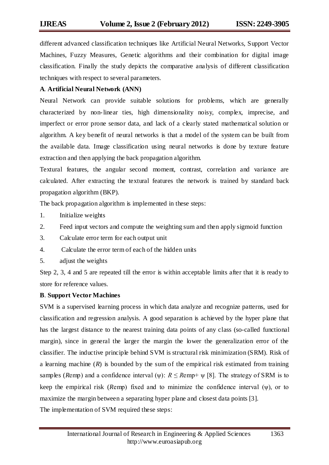different advanced classification techniques like Artificial Neural Networks, Support Vector Machines, Fuzzy Measures, Genetic algorithms and their combination for digital image classification. Finally the study depicts the comparative analysis of different classification techniques with respect to several parameters.

#### **A***.* **Artificial Neural Network (ANN)**

Neural Network can provide suitable solutions for problems, which are generally characterized by non-linear ties, high dimensionality noisy, complex, imprecise, and imperfect or error prone sensor data, and lack of a clearly stated mathematical solution or algorithm. A key benefit of neural networks is that a model of the system can be built from the available data. Image classification using neural networks is done by texture feature extraction and then applying the back propagation algorithm.

Textural features, the angular second moment, contrast, correlation and variance are calculated. After extracting the textural features the network is trained by standard back propagation algorithm (BKP).

The back propagation algorithm is implemented in these steps:

- 1. Initialize weights
- 2. Feed input vectors and compute the weighting sum and then apply sigmoid function
- 3. Calculate error term for each output unit
- 4. Calculate the error term of each of the hidden units
- 5. adjust the weights

Step 2, 3, 4 and 5 are repeated till the error is within acceptable limits after that it is ready to store for reference values.

#### **B**. **Support Vector Machines**

SVM is a supervised learning process in which data analyze and recognize patterns, used for classification and regression analysis. A good separation is achieved by the hyper plane that has the largest distance to the nearest training data points of any class (so-called functional margin), since in general the larger the margin the lower the generalization error of the classifier. The inductive principle behind SVM is structural risk minimization (SRM). Risk of a learning machine (*R*) is bounded by the sum of the empirical risk estimated from training samples (*Remp*) and a confidence interval ( $\psi$ ):  $R \leq R$ emp+  $\psi$  [8]. The strategy of SRM is to keep the empirical risk (*Remp*) fixed and to minimize the confidence interval  $(\psi)$ , or to maximize the margin between a separating hyper plane and closest data points [3]. The implementation of SVM required these steps: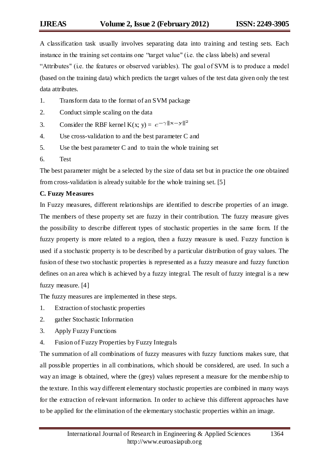A classification task usually involves separating data into training and testing sets. Each instance in the training set contains one "target value" (i.e. the class labels) and several "Attributes" (i.e. the features or observed variables). The goal of SVM is to produce a model (based on the training data) which predicts the target values of the test data given only the test data attributes.

- 1. Transform data to the format of an SVM package
- 2. Conduct simple scaling on the data
- 3. Consider the RBF kernel K(x; y) =  $e^{-\gamma ||x-y||^2}$
- 4. Use cross-validation to and the best parameter C and
- 5. Use the best parameter C and to train the whole training set
- 6. Test

The best parameter might be a selected by the size of data set but in practice the one obtained from cross-validation is already suitable for the whole training set. [5]

#### **C. Fuzzy Measures**

In Fuzzy measures, different relationships are identified to describe properties of an image. The members of these property set are fuzzy in their contribution. The fuzzy measure gives the possibility to describe different types of stochastic properties in the same form. If the fuzzy property is more related to a region, then a fuzzy measure is used. Fuzzy function is used if a stochastic property is to be described by a particular distribution of gray values. The fusion of these two stochastic properties is represented as a fuzzy measure and fuzzy function defines on an area which is achieved by a fuzzy integral. The result of fuzzy integral is a new fuzzy measure. [4]

The fuzzy measures are implemented in these steps.

- 1. Extraction of stochastic properties
- 2. gather Stochastic Information
- 3. Apply Fuzzy Functions
- 4. Fusion of Fuzzy Properties by Fuzzy Integrals

The summation of all combinations of fuzzy measures with fuzzy functions makes sure, that all possible properties in all combinations, which should be considered, are used. In such a way an image is obtained, where the (grey) values represent a measure for the membe rship to the texture. In this way different elementary stochastic properties are combined in many ways for the extraction of relevant information. In order to achieve this different approaches have to be applied for the elimination of the elementary stochastic properties within an image.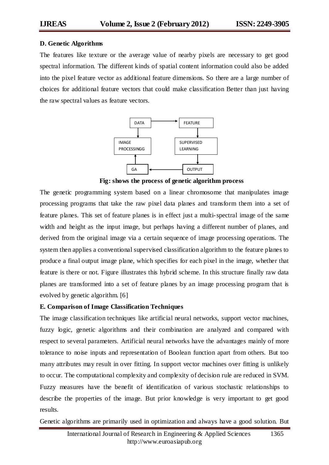#### **D. Genetic Algorithms**

The features like texture or the average value of nearby pixels are necessary to get good spectral information. The different kinds of spatial content information could also be added into the pixel feature vector as additional feature dimensions. So there are a large number of choices for additional feature vectors that could make classification Better than just having the raw spectral values as feature vectors.



**Fig: shows the process of genetic algorithm process**

The genetic programming system based on a linear chromosome that manipulates image processing programs that take the raw pixel data planes and transform them into a set of feature planes. This set of feature planes is in effect just a multi-spectral image of the same width and height as the input image, but perhaps having a different number of planes, and derived from the original image via a certain sequence of image processing operations. The system then applies a conventional supervised classification algorithm to the feature planes to produce a final output image plane, which specifies for each pixel in the image, whether that feature is there or not. Figure illustrates this hybrid scheme. In this structure finally raw data planes are transformed into a set of feature planes by an image processing program that is evolved by genetic algorithm. [6]

#### **E. Comparison of Image Classification Techniques**

The image classification techniques like artificial neural networks, support vector machines, fuzzy logic, genetic algorithms and their combination are analyzed and compared with respect to several parameters. Artificial neural networks have the advantages mainly of more tolerance to noise inputs and representation of Boolean function apart from others. But too many attributes may result in over fitting. In support vector machines over fitting is unlikely to occur. The computational complexity and complexity of decision rule are reduced in SVM. Fuzzy measures have the benefit of identification of various stochastic relationships to describe the properties of the image. But prior knowledge is very important to get good results.

Genetic algorithms are primarily used in optimization and always have a good solution. But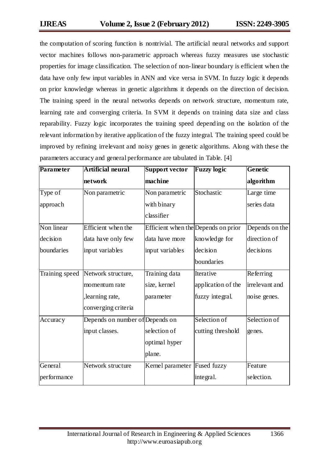the computation of scoring function is nontrivial. The artificial neural networks and support vector machines follows non-parametric approach whereas fuzzy measures use stochastic properties for image classification. The selection of non-linear boundary is efficient when the data have only few input variables in ANN and vice versa in SVM. In fuzzy logic it depends on prior knowledge whereas in genetic algorithms it depends on the direction of decision. The training speed in the neural networks depends on network structure, momentum rate, learning rate and converging criteria. In SVM it depends on training data size and class reparability. Fuzzy logic incorporates the training speed depending on the isolation of the relevant information by iterative application of the fuzzy integral. The training speed could be improved by refining irrelevant and noisy genes in genetic algorithms. Along with these the parameters accuracy and general performance are tabulated in Table. [4]

| Parameter   | Artificial neural                 | <b>Support vector</b>               | <b>Fuzzy logic</b> | <b>Genetic</b> |
|-------------|-----------------------------------|-------------------------------------|--------------------|----------------|
|             | network                           | machine                             |                    | algorithm      |
| Type of     | Non parametric                    | Non parametric                      | Stochastic         | Large time     |
| approach    |                                   | with binary                         |                    | series data    |
|             |                                   | classifier                          |                    |                |
| Non linear  | Efficient when the                | Efficient when the Depends on prior |                    | Depends on the |
| decision    | data have only few                | data have more                      | knowledge for      | direction of   |
| boundaries  | input variables                   | input variables                     | decision           | decisions      |
|             |                                   |                                     | boundaries         |                |
|             | Training speed Network structure, | Training data                       | Iterative          | Referring      |
|             | momentum rate                     | size, kernel                        | application of the | irrelevant and |
|             | ,learning rate,                   | parameter                           | fuzzy integral.    | noise genes.   |
|             | converging criteria               |                                     |                    |                |
| Accuracy    | Depends on number of Depends on   |                                     | Selection of       | Selection of   |
|             | input classes.                    | selection of                        | cutting threshold  | genes.         |
|             |                                   | optimal hyper                       |                    |                |
|             |                                   | plane.                              |                    |                |
| General     | Network structure                 | Kernel parameter                    | Fused fuzzy        | Feature        |
| performance |                                   |                                     | integral.          | selection.     |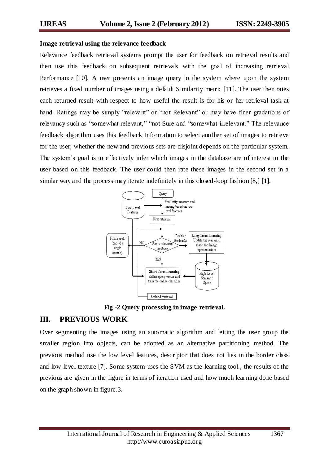#### **Image retrieval using the relevance feedback**

Relevance feedback retrieval systems prompt the user for feedback on retrieval results and then use this feedback on subsequent retrievals with the goal of increasing retrieval Performance [10]. A user presents an image query to the system where upon the system retrieves a fixed number of images using a default Similarity metric [11]. The user then rates each returned result with respect to how useful the result is for his or her retrieval task at hand. Ratings may be simply "relevant" or "not Relevant" or may have finer gradations of relevancy such as "somewhat relevant," "not Sure and "somewhat irrelevant." The relevance feedback algorithm uses this feedback Information to select another set of images to retrieve for the user; whether the new and previous sets are disjoint depends on the particular system. The system's goal is to effectively infer which images in the database are of interest to the user based on this feedback. The user could then rate these images in the second set in a similar way and the process may iterate indefinitely in this closed-loop fashion [8,] [1].



**Fig -2 Query processing in image retrieval.**

# **III. PREVIOUS WORK**

Over segmenting the images using an automatic algorithm and letting the user group the smaller region into objects, can be adopted as an alternative partitioning method. The previous method use the low level features, descriptor that does not lies in the border class and low level texture [7]. Some system uses the SVM as the learning tool , the results of the previous are given in the figure in terms of iteration used and how much learning done based on the graph shown in figure.3.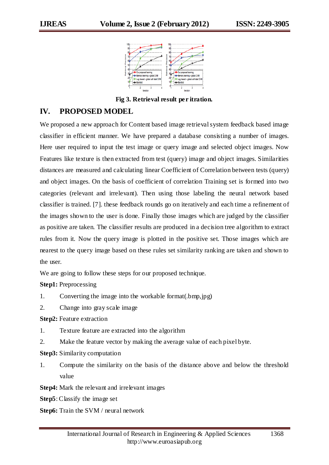

**Fig 3. Retrieval result per itration.**

### **IV. PROPOSED MODEL**

We proposed a new approach for Content based image retrieval system feedback based image classifier in efficient manner. We have prepared a database consisting a number of images. Here user required to input the test image or query image and selected object images. Now Features like texture is then extracted from test (query) image and object images. Similarities distances are measured and calculating linear Coefficient of Correlation between tests (query) and object images. On the basis of coefficient of correlation Training set is formed into two categories (relevant and irrelevant). Then using those labeling the neural network based classifier is trained. [7]. these feedback rounds go on iteratively and each time a refinement of the images shown to the user is done. Finally those images which are judged by the classifier as positive are taken. The classifier results are produced in a decision tree algorithm to extract rules from it. Now the query image is plotted in the positive set. Those images which are nearest to the query image based on these rules set similarity ranking are taken and shown to the user.

We are going to follow these steps for our proposed technique.

**Step1:** Preprocessing

- 1. Converting the image into the workable format(.bmp,jpg)
- 2. Change into gray scale image

**Step2:** Feature extraction

- 1. Texture feature are extracted into the algorithm
- 2. Make the feature vector by making the average value of each pixel byte.

#### **Step3:** Similarity computation

1. Compute the similarity on the basis of the distance above and below the threshold value

**Step4:** Mark the relevant and irrelevant images

**Step5**: Classify the image set

**Step6:** Train the SVM / neural network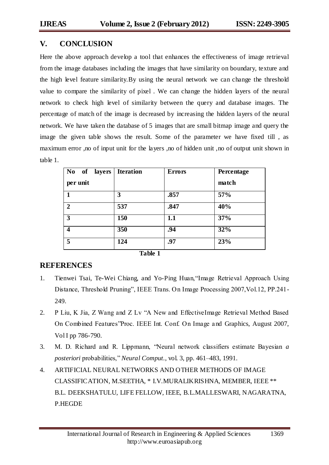# **V. CONCLUSION**

Here the above approach develop a tool that enhances the effectiveness of image retrieval from the image databases including the images that have similarity on boundary, texture and the high level feature similarity.By using the neural network we can change the threshold value to compare the similarity of pixel . We can change the hidden layers of the neural network to check high level of similarity between the query and database images. The percentage of match of the image is decreased by increasing the hidden layers of the neural network. We have taken the database of 5 images that are small bitmap image and query the image the given table shows the result. Some of the parameter we have fixed till , as maximum error ,no of input unit for the layers ,no of hidden unit ,no of output unit shown in table 1.

| No of layers<br>per unit | <b>Iteration</b> | <b>Errors</b> | <b>Percentage</b><br>match |
|--------------------------|------------------|---------------|----------------------------|
|                          | 3                | .857          | 57%                        |
| $\overline{2}$           | 537              | .847          | 40%                        |
| 3                        | 150              | 1.1           | 37%                        |
| $\overline{\mathbf{4}}$  | 350              | .94           | 32%                        |
| 5                        | 124              | .97           | 23%                        |

#### **Table 1**

# **REFERENCES**

- 1. Tienwei Tsai, Te-Wei Chiang, and Yo-Ping Huan,"Image Retrieval Approach Using Distance, Threshold Pruning", IEEE Trans. On Image Processing 2007,Vol.12, PP.241- 249.
- 2. P Liu, K Jia, Z Wang and Z Lv "A New and EffectiveImage Retrieval Method Based On Combined Features"Proc. IEEE Int. Conf. On Image and Graphics, August 2007, Vol I pp 786-790.
- 3. M. D. Richard and R. Lippmann, "Neural network classifiers estimate Bayesian *a posteriori* probabilities," *Neural Comput.*, vol. 3, pp. 461–483, 1991.
- 4. ARTIFICIAL NEURAL NETWORKS AND OTHER METHODS OF IMAGE CLASSIFICATION, M.SEETHA, \* I.V.MURALIKRISHNA, MEMBER, IEEE \*\* B.L. DEEKSHATULU, LIFE FELLOW, IEEE, B.L.MALLESWARI, NAGARATNA, P.HEGDE